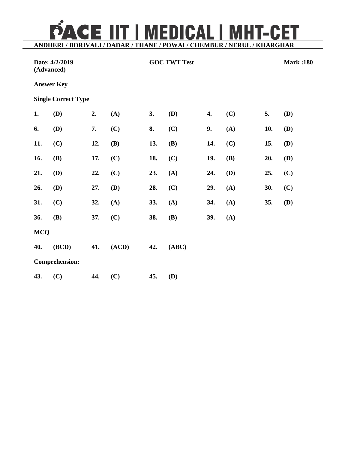PACE IIT | MEDICAL | MHT-CET

**ANDHERI / BORIVALI / DADAR / THANE / POWAI / CHEMBUR / NERUL / KHARGHAR**

| Date: 4/2/2019<br>(Advanced) |                            |     | <b>GOC TWT Test</b> |     |            |     |            | <b>Mark:180</b> |     |
|------------------------------|----------------------------|-----|---------------------|-----|------------|-----|------------|-----------------|-----|
|                              | <b>Answer Key</b>          |     |                     |     |            |     |            |                 |     |
|                              | <b>Single Correct Type</b> |     |                     |     |            |     |            |                 |     |
| 1.                           | (D)                        | 2.  | (A)                 | 3.  | (D)        | 4.  | (C)        | 5.              | (D) |
| 6.                           | (D)                        | 7.  | (C)                 | 8.  | (C)        | 9.  | (A)        | 10.             | (D) |
| 11.                          | (C)                        | 12. | <b>(B)</b>          | 13. | <b>(B)</b> | 14. | (C)        | 15.             | (D) |
| 16.                          | (B)                        | 17. | (C)                 | 18. | (C)        | 19. | <b>(B)</b> | 20.             | (D) |
| 21.                          | <b>(D)</b>                 | 22. | (C)                 | 23. | (A)        | 24. | (D)        | 25.             | (C) |
| 26.                          | <b>(D)</b>                 | 27. | (D)                 | 28. | (C)        | 29. | (A)        | 30.             | (C) |
| 31.                          | (C)                        | 32. | (A)                 | 33. | (A)        | 34. | (A)        | 35.             | (D) |
| 36.                          | (B)                        | 37. | (C)                 | 38. | <b>(B)</b> | 39. | (A)        |                 |     |
| <b>MCQ</b>                   |                            |     |                     |     |            |     |            |                 |     |
| 40.                          | (BCD)                      | 41. | (ACD)               | 42. | (ABC)      |     |            |                 |     |
|                              | <b>Comprehension:</b>      |     |                     |     |            |     |            |                 |     |
| 43.                          | (C)                        | 44. | (C)                 | 45. | (D)        |     |            |                 |     |
|                              |                            |     |                     |     |            |     |            |                 |     |